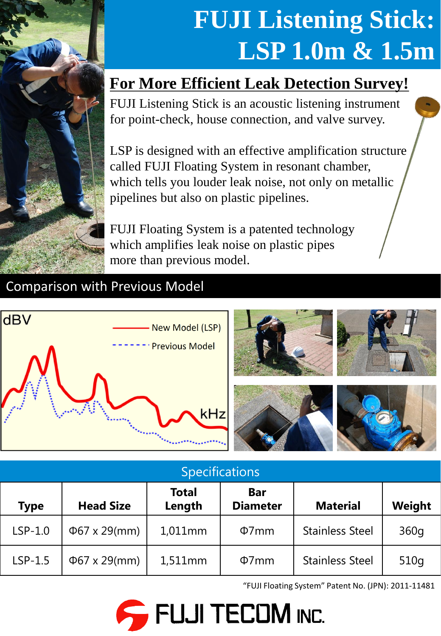

# **FUJI Listening Stick: LSP 1.0m & 1.5m**

## **For More Efficient Leak Detection Survey!**

FUJI Listening Stick is an acoustic listening instrument for point-check, house connection, and valve survey.

LSP is designed with an effective amplification structure called FUJI Floating System in resonant chamber, which tells you louder leak noise, not only on metallic pipelines but also on plastic pipelines.

FUJI Floating System is a patented technology which amplifies leak noise on plastic pipes more than previous model.

### Comparison with Previous Model





| <b>Specifications</b> |                    |                        |                               |                        |        |
|-----------------------|--------------------|------------------------|-------------------------------|------------------------|--------|
| <b>Type</b>           | <b>Head Size</b>   | <b>Total</b><br>Length | <b>Bar</b><br><b>Diameter</b> | <b>Material</b>        | Weight |
| $LSP-1.0$             | $\Phi$ 67 x 29(mm) | $1,011$ mm             | $\Phi$ 7mm                    | <b>Stainless Steel</b> | 360g   |
| $LSP-1.5$             | $\Phi$ 67 x 29(mm) | $1,511$ mm             | $\Phi$ 7mm                    | <b>Stainless Steel</b> | 510q   |

"FUJI Floating System" Patent No. (JPN): 2011-11481